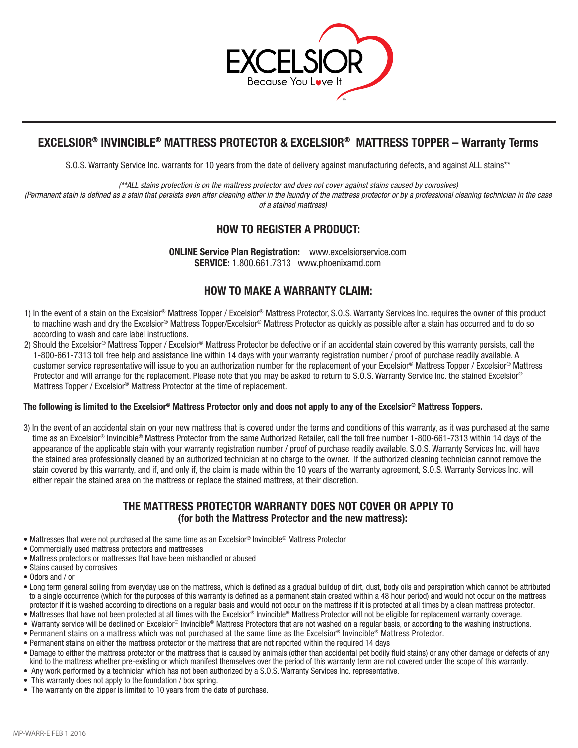

# **EXCELSIOR® INVINCIBLE® MATTRESS PROTECTOR & EXCELSIOR® MATTRESS TOPPER – Warranty Terms**

S.O.S. Warranty Service Inc. warrants for 10 years from the date of delivery against manufacturing defects, and against ALL stains\*\*

*(\*\*ALL stains protection is on the mattress protector and does not cover against stains caused by corrosives)*

*(Permanent stain is defined as a stain that persists even after cleaning either in the laundry of the mattress protector or by a professional cleaning technician in the case of a stained mattress)*

# **HOW TO REGISTER A PRODUCT:**

**ONLINE Service Plan Registration:** www.excelsiorservice.com **SERVICE:** 1.800.661.7313 www.phoenixamd.com

### **HOW TO MAKE A WARRANTY CLAIM:**

- 1) In the event of a stain on the Excelsior® Mattress Topper / Excelsior® Mattress Protector, S.O.S. Warranty Services Inc. requires the owner of this product to machine wash and dry the Excelsior® Mattress Topper/Excelsior® Mattress Protector as quickly as possible after a stain has occurred and to do so according to wash and care label instructions.
- 2) Should the Excelsior® Mattress Topper / Excelsior® Mattress Protector be defective or if an accidental stain covered by this warranty persists, call the 1-800-661-7313 toll free help and assistance line within 14 days with your warranty registration number / proof of purchase readily available. A customer service representative will issue to you an authorization number for the replacement of your Excelsior® Mattress Topper / Excelsior® Mattress Protector and will arrange for the replacement. Please note that you may be asked to return to S.O.S. Warranty Service Inc. the stained Excelsior® Mattress Topper / Excelsior<sup>®</sup> Mattress Protector at the time of replacement.

#### **The following is limited to the Excelsior® Mattress Protector only and does not apply to any of the Excelsior® Mattress Toppers.**

3) In the event of an accidental stain on your new mattress that is covered under the terms and conditions of this warranty, as it was purchased at the same time as an Excelsior® Invincible® Mattress Protector from the same Authorized Retailer, call the toll free number 1-800-661-7313 within 14 days of the appearance of the applicable stain with your warranty registration number / proof of purchase readily available. S.O.S. Warranty Services Inc. will have the stained area professionally cleaned by an authorized technician at no charge to the owner. If the authorized cleaning technician cannot remove the stain covered by this warranty, and if, and only if, the claim is made within the 10 years of the warranty agreement, S.O.S. Warranty Services Inc. will either repair the stained area on the mattress or replace the stained mattress, at their discretion.

### **THE MATTRESS PROTECTOR WARRANTY DOES NOT COVER OR APPLY TO (for both the Mattress Protector and the new mattress):**

- Mattresses that were not purchased at the same time as an Excelsior® Invincible® Mattress Protector
- Commercially used mattress protectors and mattresses
- Mattress protectors or mattresses that have been mishandled or abused
- Stains caused by corrosives
- Odors and / or
- Long term general soiling from everyday use on the mattress, which is defined as a gradual buildup of dirt, dust, body oils and perspiration which cannot be attributed to a single occurrence (which for the purposes of this warranty is defined as a permanent stain created within a 48 hour period) and would not occur on the mattress protector if it is washed according to directions on a regular basis and would not occur on the mattress if it is protected at all times by a clean mattress protector.
- Mattresses that have not been protected at all times with the Excelsior® Invincible® Mattress Protector will not be eligible for replacement warranty coverage.
- Warranty service will be declined on Excelsior® Invincible® Mattress Protectors that are not washed on a regular basis, or according to the washing instructions.
- Permanent stains on a mattress which was not purchased at the same time as the Excelsior® Invincible® Mattress Protector.
- Permanent stains on either the mattress protector or the mattress that are not reported within the required 14 days
- Damage to either the mattress protector or the mattress that is caused by animals (other than accidental pet bodily fluid stains) or any other damage or defects of any kind to the mattress whether pre-existing or which manifest themselves over the period of this warranty term are not covered under the scope of this warranty.
- Any work performed by a technician which has not been authorized by a S.O.S. Warranty Services Inc. representative.
- This warranty does not apply to the foundation / box spring.
- The warranty on the zipper is limited to 10 years from the date of purchase.